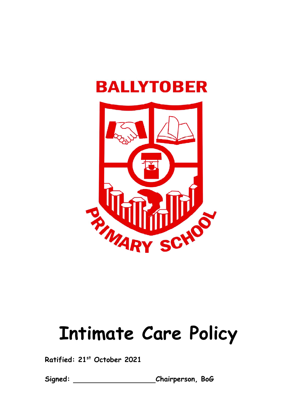



# **Intimate Care Policy**

**Ratified: 21st October 2021**

**Signed: Chairperson, BoG**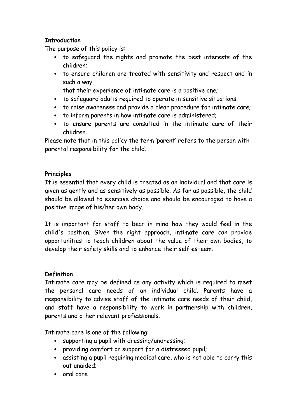# **Introduction**

The purpose of this policy is:

- to safeguard the rights and promote the best interests of the children;
- to ensure children are treated with sensitivity and respect and in such a way

that their experience of intimate care is a positive one;

- to safeguard adults required to operate in sensitive situations;
- to raise awareness and provide a clear procedure for intimate care;
- to inform parents in how intimate care is administered;
- to ensure parents are consulted in the intimate care of their children.

Please note that in this policy the term 'parent' refers to the person with parental responsibility for the child.

## **Principles**

It is essential that every child is treated as an individual and that care is given as gently and as sensitively as possible. As far as possible, the child should be allowed to exercise choice and should be encouraged to have a positive image of his/her own body.

It is important for staff to bear in mind how they would feel in the child's position. Given the right approach, intimate care can provide opportunities to teach children about the value of their own bodies, to develop their safety skills and to enhance their self esteem.

## **Definition**

Intimate care may be defined as any activity which is required to meet the personal care needs of an individual child. Parents have a responsibility to advise staff of the intimate care needs of their child, and staff have a responsibility to work in partnership with children, parents and other relevant professionals.

Intimate care is one of the following:

- supporting a pupil with dressing/undressing;
- providing comfort or support for a distressed pupil;
- assisting a pupil requiring medical care, who is not able to carry this out unaided;
- oral care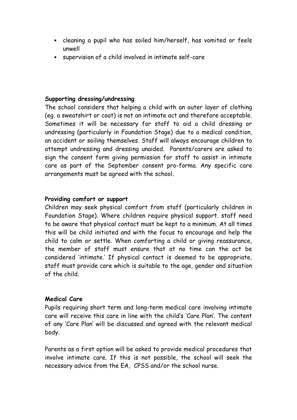- cleaning a pupil who has soiled him/herself, has vomited or feels unwell
- supervision of a child involved in intimate self-care

#### **Supporting dressing/undressing**

The school considers that helping a child with an outer layer of clothing (eg. a sweatshirt or coat) is not an intimate act and therefore acceptable. Sometimes it will be necessary for staff to aid a child dressing or undressing (particularly in Foundation Stage) due to a medical condition, an accident or soiling themselves. Staff will always encourage children to attempt undressing and dressing unaided. Parents/carers are asked to sign the consent form giving permission for staff to assist in intimate care as part of the September consent pro-forma. Any specific care arrangements must be agreed with the school.

#### **Providing comfort or support**

Children may seek physical comfort from staff (particularly children in Foundation Stage). Where children require physical support. staff need to be aware that physical contact must be kept to a minimum. At all times this will be child initiated and with the focus to encourage and help the child to calm or settle. When comforting a child or giving reassurance, the member of staff must ensure that at no time can the act be considered 'intimate.' If physical contact is deemed to be appropriate, staff must provide care which is suitable to the age, gender and situation of the child.

#### **Medical Care**

Pupils requiring short term and long-term medical care involving intimate care will receive this care in line with the child's 'Care Plan'. The content of any 'Care Plan' will be discussed and agreed with the relevant medical body.

Parents as a first option will be asked to provide medical procedures that involve intimate care. If this is not possible, the school will seek the necessary advice from the EA, CPSS and/or the school nurse.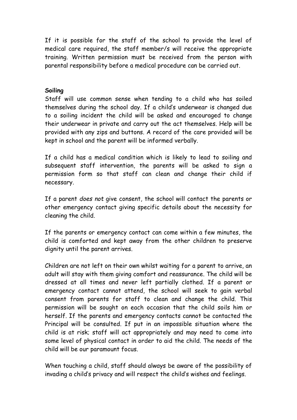If it is possible for the staff of the school to provide the level of medical care required, the staff member/s will receive the appropriate training. Written permission must be received from the person with parental responsibility before a medical procedure can be carried out.

#### **Soiling**

Staff will use common sense when tending to a child who has soiled themselves during the school day. If a child's underwear is changed due to a soiling incident the child will be asked and encouraged to change their underwear in private and carry out the act themselves. Help will be provided with any zips and buttons. A record of the care provided will be kept in school and the parent will be informed verbally.

If a child has a medical condition which is likely to lead to soiling and subsequent staff intervention, the parents will be asked to sign a permission form so that staff can clean and change their child if necessary.

If a parent *does not* give consent, the school will contact the parents or other emergency contact giving specific details about the necessity for cleaning the child.

If the parents or emergency contact can come within a few minutes, the child is comforted and kept away from the other children to preserve dignity until the parent arrives.

Children are not left on their own whilst waiting for a parent to arrive, an adult will stay with them giving comfort and reassurance. The child will be dressed at all times and never left partially clothed. If a parent or emergency contact cannot attend, the school will seek to gain verbal consent from parents for staff to clean and change the child. This permission will be sought on each occasion that the child soils him or herself. If the parents and emergency contacts cannot be contacted the Principal will be consulted. If put in an impossible situation where the child is at risk; staff will act appropriately and may need to come into some level of physical contact in order to aid the child. The needs of the child will be our paramount focus.

When touching a child, staff should always be aware of the possibility of invading a child's privacy and will respect the child's wishes and feelings.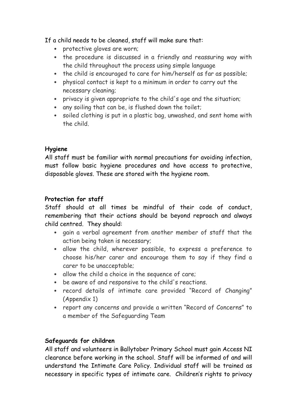If a child needs to be cleaned, staff will make sure that:

- protective gloves are worn;
- the procedure is discussed in a friendly and reassuring way with the child throughout the process using simple language
- the child is encouraged to care for him/herself as far as possible;
- physical contact is kept to a minimum in order to carry out the necessary cleaning;
- privacy is given appropriate to the child's age and the situation;
- any soiling that can be, is flushed down the toilet;
- soiled clothing is put in a plastic bag, unwashed, and sent home with the child.

## **Hygiene**

All staff must be familiar with normal precautions for avoiding infection, must follow basic hygiene procedures and have access to protective, disposable gloves. These are stored with the hygiene room.

# **Protection for staff**

Staff should at all times be mindful of their code of conduct, remembering that their actions should be beyond reproach and always child centred. They should:

- gain a verbal agreement from another member of staff that the action being taken is necessary;
- allow the child, wherever possible, to express a preference to choose his/her carer and encourage them to say if they find a carer to be unacceptable;
- allow the child a choice in the sequence of care;
- be aware of and responsive to the child's reactions.
- record details of intimate care provided "Record of Changing" (Appendix 1)
- report any concerns and provide a written "Record of Concerns" to a member of the Safeguarding Team

# **Safeguards for children**

All staff and volunteers in Ballytober Primary School must gain Access NI clearance before working in the school. Staff will be informed of and will understand the Intimate Care Policy. Individual staff will be trained as necessary in specific types of intimate care. Children's rights to privacy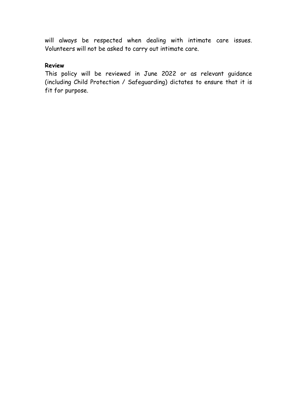will always be respected when dealing with intimate care issues. Volunteers will not be asked to carry out intimate care.

#### **Review**

This policy will be reviewed in June 2022 or as relevant guidance (including Child Protection / Safeguarding) dictates to ensure that it is fit for purpose.